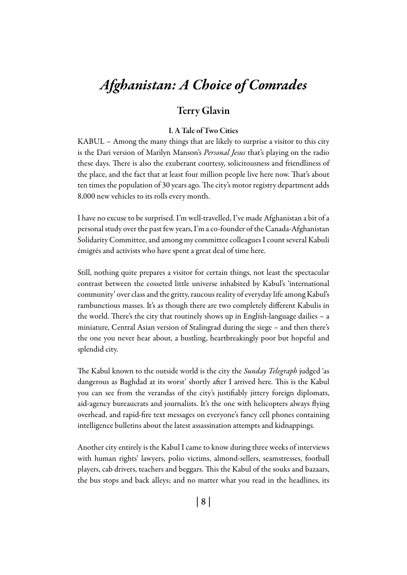# *Afghanistan: A Choice of Comrades*

## Terry Glavin

#### I. A Tale of Two Cities

KABUL – Among the many things that are likely to surprise a visitor to this city is the Dari version of Marilyn Manson's *Personal Jesus* that's playing on the radio these days. There is also the exuberant courtesy, solicitousness and friendliness of the place, and the fact that at least four million people live here now. That's about ten times the population of 30 years ago. The city's motor registry department adds 8,000 new vehicles to its rolls every month.

I have no excuse to be surprised. I'm well-travelled, I've made Afghanistan a bit of a personal study over the past few years, I'm a co-founder of the Canada-Afghanistan Solidarity Committee, and among my committee colleagues I count several Kabuli émigrés and activists who have spent a great deal of time here.

Still, nothing quite prepares a visitor for certain things, not least the spectacular contrast between the cosseted little universe inhabited by Kabul's 'international community' over class and the gritty, raucous reality of everyday life among Kabul's rambunctious masses. It's as though there are two completely different Kabulis in the world. There's the city that routinely shows up in English-language dailies – a miniature, Central Asian version of Stalingrad during the siege – and then there's the one you never hear about, a bustling, heartbreakingly poor but hopeful and splendid city.

The Kabul known to the outside world is the city the *Sunday Telegraph* judged 'as dangerous as Baghdad at its worst' shortly after I arrived here. This is the Kabul you can see from the verandas of the city's justifiably jittery foreign diplomats, aid-agency bureaucrats and journalists. It's the one with helicopters always flying overhead, and rapid-fire text messages on everyone's fancy cell phones containing intelligence bulletins about the latest assassination attempts and kidnappings.

Another city entirely is the Kabul I came to know during three weeks of interviews with human rights' lawyers, polio victims, almond-sellers, seamstresses, football players, cab drivers, teachers and beggars. This the Kabul of the souks and bazaars, the bus stops and back alleys; and no matter what you read in the headlines, its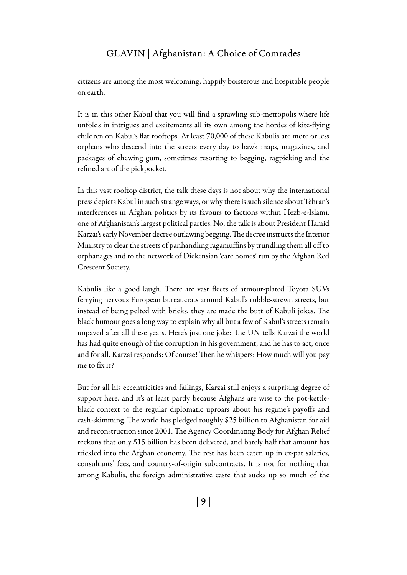citizens are among the most welcoming, happily boisterous and hospitable people on earth.

It is in this other Kabul that you will find a sprawling sub-metropolis where life unfolds in intrigues and excitements all its own among the hordes of kite-flying children on Kabul's flat rooftops. At least 70,000 of these Kabulis are more or less orphans who descend into the streets every day to hawk maps, magazines, and packages of chewing gum, sometimes resorting to begging, ragpicking and the refined art of the pickpocket.

In this vast rooftop district, the talk these days is not about why the international press depicts Kabul in such strange ways, or why there is such silence about Tehran's interferences in Afghan politics by its favours to factions within Hezb-e-Islami, one of Afghanistan's largest political parties. No, the talk is about President Hamid Karzai's early November decree outlawing begging. The decree instructs the Interior Ministry to clear the streets of panhandling ragamuffins by trundling them all off to orphanages and to the network of Dickensian 'care homes' run by the Afghan Red Crescent Society.

Kabulis like a good laugh. There are vast fleets of armour-plated Toyota SUVs ferrying nervous European bureaucrats around Kabul's rubble-strewn streets, but instead of being pelted with bricks, they are made the butt of Kabuli jokes. The black humour goes a long way to explain why all but a few of Kabul's streets remain unpaved after all these years. Here's just one joke: The UN tells Karzai the world has had quite enough of the corruption in his government, and he has to act, once and for all. Karzai responds: Of course! Then he whispers: How much will you pay me to fix it?

But for all his eccentricities and failings, Karzai still enjoys a surprising degree of support here, and it's at least partly because Afghans are wise to the pot-kettleblack context to the regular diplomatic uproars about his regime's payoffs and cash-skimming. The world has pledged roughly \$25 billion to Afghanistan for aid and reconstruction since 2001. The Agency Coordinating Body for Afghan Relief reckons that only \$15 billion has been delivered, and barely half that amount has trickled into the Afghan economy. The rest has been eaten up in ex-pat salaries, consultants' fees, and country-of-origin subcontracts. It is not for nothing that among Kabulis, the foreign administrative caste that sucks up so much of the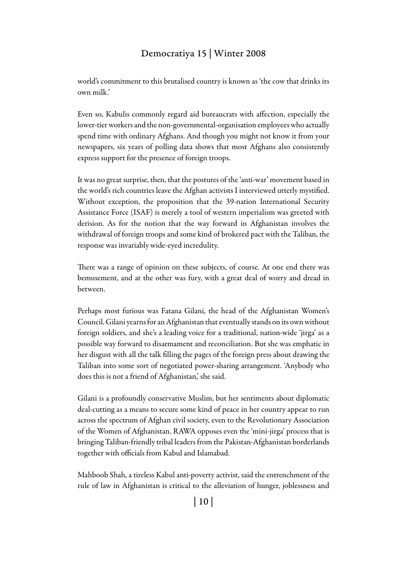world's commitment to this brutalised country is known as 'the cow that drinks its own milk.'

Even so, Kabulis commonly regard aid bureaucrats with affection, especially the lower-tier workers and the non-governmental-organisation employees who actually spend time with ordinary Afghans. And though you might not know it from your newspapers, six years of polling data shows that most Afghans also consistently express support for the presence of foreign troops.

It was no great surprise, then, that the postures of the 'anti-war' movement based in the world's rich countries leave the Afghan activists I interviewed utterly mystified. Without exception, the proposition that the 39-nation International Security Assistance Force (ISAF) is merely a tool of western imperialism was greeted with derision. As for the notion that the way forward in Afghanistan involves the withdrawal of foreign troops and some kind of brokered pact with the Taliban, the response was invariably wide-eyed incredulity.

There was a range of opinion on these subjects, of course. At one end there was bemusement, and at the other was fury, with a great deal of worry and dread in between.

Perhaps most furious was Fatana Gilani, the head of the Afghanistan Women's Council. Gilani yearns for an Afghanistan that eventually stands on its own without foreign soldiers, and she's a leading voice for a traditional, nation-wide 'jirga' as a possible way forward to disarmament and reconciliation. But she was emphatic in her disgust with all the talk filling the pages of the foreign press about drawing the Taliban into some sort of negotiated power-sharing arrangement. 'Anybody who does this is not a friend of Afghanistan,' she said.

Gilani is a profoundly conservative Muslim, but her sentiments about diplomatic deal-cutting as a means to secure some kind of peace in her country appear to run across the spectrum of Afghan civil society, even to the Revolutionary Association of the Women of Afghanistan. RAWA opposes even the 'mini-jirga' process that is bringing Taliban-friendly tribal leaders from the Pakistan-Afghanistan borderlands together with officials from Kabul and Islamabad.

Mahboob Shah, a tireless Kabul anti-poverty activist, said the entrenchment of the rule of law in Afghanistan is critical to the alleviation of hunger, joblessness and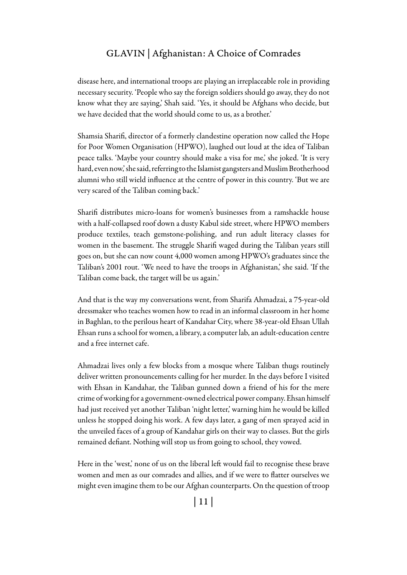disease here, and international troops are playing an irreplaceable role in providing necessary security. 'People who say the foreign soldiers should go away, they do not know what they are saying,' Shah said. 'Yes, it should be Afghans who decide, but we have decided that the world should come to us, as a brother.'

Shamsia Sharifi, director of a formerly clandestine operation now called the Hope for Poor Women Organisation (HPWO), laughed out loud at the idea of Taliban peace talks. 'Maybe your country should make a visa for me,' she joked. 'It is very hard, even now,' she said, referring to the Islamist gangsters and Muslim Brotherhood alumni who still wield influence at the centre of power in this country. 'But we are very scared of the Taliban coming back.'

Sharifi distributes micro-loans for women's businesses from a ramshackle house with a half-collapsed roof down a dusty Kabul side street, where HPWO members produce textiles, teach gemstone-polishing, and run adult literacy classes for women in the basement. The struggle Sharifi waged during the Taliban years still goes on, but she can now count 4,000 women among HPWO's graduates since the Taliban's 2001 rout. 'We need to have the troops in Afghanistan,' she said. 'If the Taliban come back, the target will be us again.'

And that is the way my conversations went, from Sharifa Ahmadzai, a 75-year-old dressmaker who teaches women how to read in an informal classroom in her home in Baghlan, to the perilous heart of Kandahar City, where 38-year-old Ehsan Ullah Ehsan runs a school for women, a library, a computer lab, an adult-education centre and a free internet cafe.

Ahmadzai lives only a few blocks from a mosque where Taliban thugs routinely deliver written pronouncements calling for her murder. In the days before I visited with Ehsan in Kandahar, the Taliban gunned down a friend of his for the mere crime of working for a government-owned electrical power company. Ehsan himself had just received yet another Taliban 'night letter,' warning him he would be killed unless he stopped doing his work. A few days later, a gang of men sprayed acid in the unveiled faces of a group of Kandahar girls on their way to classes. But the girls remained defiant. Nothing will stop us from going to school, they vowed.

Here in the 'west,' none of us on the liberal left would fail to recognise these brave women and men as our comrades and allies, and if we were to flatter ourselves we might even imagine them to be our Afghan counterparts. On the question of troop

| 11 |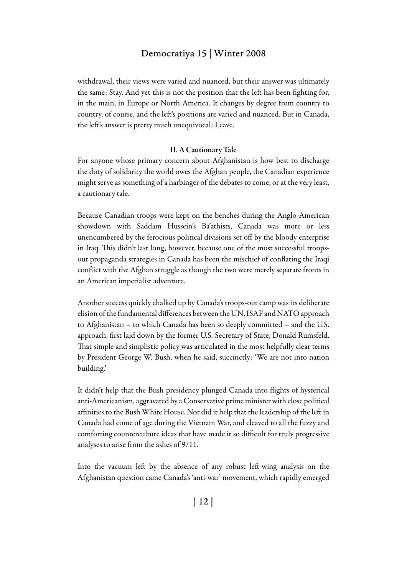withdrawal, their views were varied and nuanced, but their answer was ultimately the same: Stay. And yet this is not the position that the left has been fighting for, in the main, in Europe or North America. It changes by degree from country to country, of course, and the left's positions are varied and nuanced. But in Canada, the left's answer is pretty much unequivocal: Leave.

#### II. A Cautionary Tale

For anyone whose primary concern about Afghanistan is how best to discharge the duty of solidarity the world owes the Afghan people, the Canadian experience might serve as something of a harbinger of the debates to come, or at the very least, a cautionary tale.

Because Canadian troops were kept on the benches during the Anglo-American showdown with Saddam Hussein's Ba'athists, Canada was more or less unencumbered by the ferocious political divisions set off by the bloody enterprise in Iraq. This didn't last long, however, because one of the most successful troopsout propaganda strategies in Canada has been the mischief of conflating the Iraqi conflict with the Afghan struggle as though the two were merely separate fronts in an American imperialist adventure.

Another success quickly chalked up by Canada's troops-out camp was its deliberate elision of the fundamental differences between the UN, ISAF and NATO approach to Afghanistan – to which Canada has been so deeply committed – and the U.S. approach, first laid down by the former U.S. Secretary of State, Donald Rumsfeld. That simple and simplistic policy was articulated in the most helpfully clear terms by President George W. Bush, when he said, succinctly: 'We are not into nation building.'

It didn't help that the Bush presidency plunged Canada into flights of hysterical anti-Americanism, aggravated by a Conservative prime minister with close political affinities to the Bush White House. Nor did it help that the leadership of the left in Canada had come of age during the Vietnam War, and cleaved to all the fuzzy and comforting counterculture ideas that have made it so difficult for truly progressive analyses to arise from the ashes of 9/11.

Into the vacuum left by the absence of any robust left-wing analysis on the Afghanistan question came Canada's 'anti-war' movement, which rapidly emerged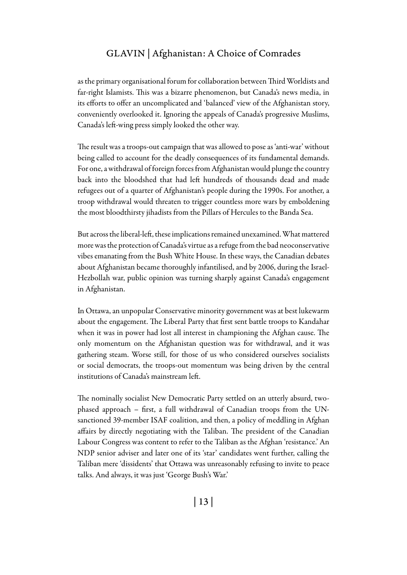as the primary organisational forum for collaboration between Third Worldists and far-right Islamists. This was a bizarre phenomenon, but Canada's news media, in its efforts to offer an uncomplicated and 'balanced' view of the Afghanistan story, conveniently overlooked it. Ignoring the appeals of Canada's progressive Muslims, Canada's left-wing press simply looked the other way.

The result was a troops-out campaign that was allowed to pose as 'anti-war' without being called to account for the deadly consequences of its fundamental demands. For one, a withdrawal of foreign forces from Afghanistan would plunge the country back into the bloodshed that had left hundreds of thousands dead and made refugees out of a quarter of Afghanistan's people during the 1990s. For another, a troop withdrawal would threaten to trigger countless more wars by emboldening the most bloodthirsty jihadists from the Pillars of Hercules to the Banda Sea.

But across the liberal-left, these implications remained unexamined. What mattered more was the protection of Canada's virtue as a refuge from the bad neoconservative vibes emanating from the Bush White House. In these ways, the Canadian debates about Afghanistan became thoroughly infantilised, and by 2006, during the Israel-Hezbollah war, public opinion was turning sharply against Canada's engagement in Afghanistan.

In Ottawa, an unpopular Conservative minority government was at best lukewarm about the engagement. The Liberal Party that first sent battle troops to Kandahar when it was in power had lost all interest in championing the Afghan cause. The only momentum on the Afghanistan question was for withdrawal, and it was gathering steam. Worse still, for those of us who considered ourselves socialists or social democrats, the troops-out momentum was being driven by the central institutions of Canada's mainstream left.

The nominally socialist New Democratic Party settled on an utterly absurd, twophased approach – first, a full withdrawal of Canadian troops from the UNsanctioned 39-member ISAF coalition, and then, a policy of meddling in Afghan affairs by directly negotiating with the Taliban. The president of the Canadian Labour Congress was content to refer to the Taliban as the Afghan 'resistance.' An NDP senior adviser and later one of its 'star' candidates went further, calling the Taliban mere 'dissidents' that Ottawa was unreasonably refusing to invite to peace talks. And always, it was just 'George Bush's War.'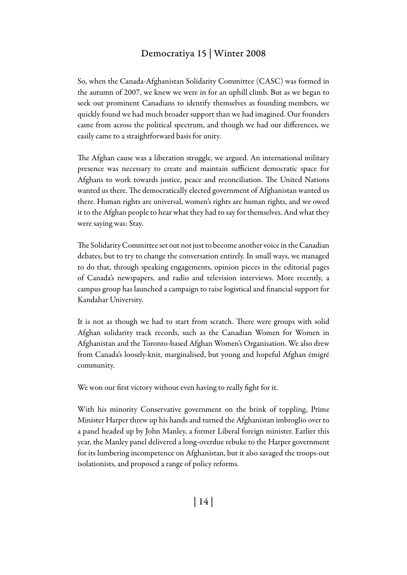So, when the Canada-Afghanistan Solidarity Committee (CASC) was formed in the autumn of 2007, we knew we were in for an uphill climb. But as we began to seek out prominent Canadians to identify themselves as founding members, we quickly found we had much broader support than we had imagined. Our founders came from across the political spectrum, and though we had our differences, we easily came to a straightforward basis for unity.

The Afghan cause was a liberation struggle, we argued. An international military presence was necessary to create and maintain sufficient democratic space for Afghans to work towards justice, peace and reconciliation. The United Nations wanted us there. The democratically elected government of Afghanistan wanted us there. Human rights are universal, women's rights are human rights, and we owed it to the Afghan people to hear what they had to say for themselves. And what they were saying was: Stay.

The Solidarity Committee set out not just to become another voice in the Canadian debates, but to try to change the conversation entirely. In small ways, we managed to do that, through speaking engagements, opinion pieces in the editorial pages of Canada's newspapers, and radio and television interviews. More recently, a campus group has launched a campaign to raise logistical and financial support for Kandahar University.

It is not as though we had to start from scratch. There were groups with solid Afghan solidarity track records, such as the Canadian Women for Women in Afghanistan and the Toronto-based Afghan Women's Organisation. We also drew from Canada's loosely-knit, marginalised, but young and hopeful Afghan émigré community.

We won our first victory without even having to really fight for it.

With his minority Conservative government on the brink of toppling, Prime Minister Harper threw up his hands and turned the Afghanistan imbroglio over to a panel headed up by John Manley, a former Liberal foreign minister. Earlier this year, the Manley panel delivered a long-overdue rebuke to the Harper government for its lumbering incompetence on Afghanistan, but it also savaged the troops-out isolationists, and proposed a range of policy reforms.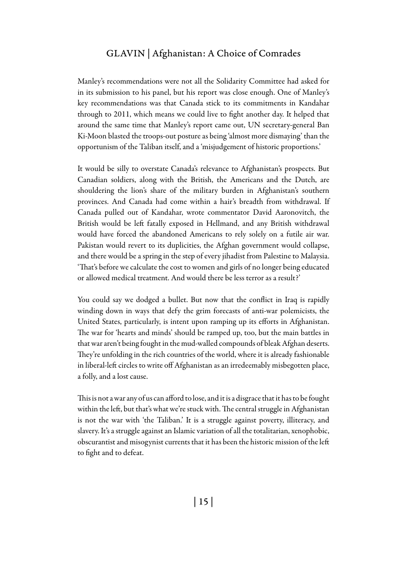Manley's recommendations were not all the Solidarity Committee had asked for in its submission to his panel, but his report was close enough. One of Manley's key recommendations was that Canada stick to its commitments in Kandahar through to 2011, which means we could live to fight another day. It helped that around the same time that Manley's report came out, UN secretary-general Ban Ki-Moon blasted the troops-out posture as being 'almost more dismaying' than the opportunism of the Taliban itself, and a 'misjudgement of historic proportions.'

It would be silly to overstate Canada's relevance to Afghanistan's prospects. But Canadian soldiers, along with the British, the Americans and the Dutch, are shouldering the lion's share of the military burden in Afghanistan's southern provinces. And Canada had come within a hair's breadth from withdrawal. If Canada pulled out of Kandahar, wrote commentator David Aaronovitch, the British would be left fatally exposed in Hellmand, and any British withdrawal would have forced the abandoned Americans to rely solely on a futile air war. Pakistan would revert to its duplicities, the Afghan government would collapse, and there would be a spring in the step of every jihadist from Palestine to Malaysia. 'That's before we calculate the cost to women and girls of no longer being educated or allowed medical treatment. And would there be less terror as a result?'

You could say we dodged a bullet. But now that the conflict in Iraq is rapidly winding down in ways that defy the grim forecasts of anti-war polemicists, the United States, particularly, is intent upon ramping up its efforts in Afghanistan. The war for 'hearts and minds' should be ramped up, too, but the main battles in that war aren't being fought in the mud-walled compounds of bleak Afghan deserts. They're unfolding in the rich countries of the world, where it is already fashionable in liberal-left circles to write off Afghanistan as an irredeemably misbegotten place, a folly, and a lost cause.

This is not a war any of us can afford to lose, and it is a disgrace that it has to be fought within the left, but that's what we're stuck with. The central struggle in Afghanistan is not the war with 'the Taliban.' It is a struggle against poverty, illiteracy, and slavery. It's a struggle against an Islamic variation of all the totalitarian, xenophobic, obscurantist and misogynist currents that it has been the historic mission of the left to fight and to defeat.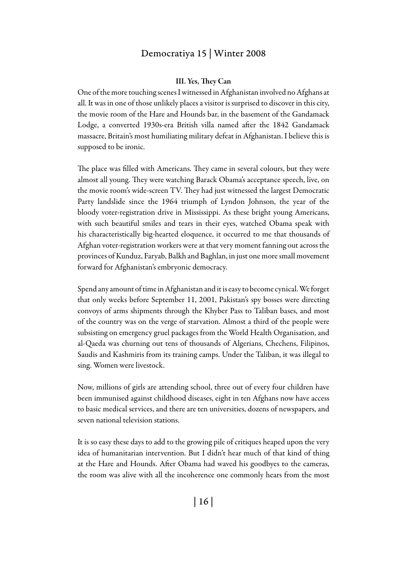#### III. Yes, They Can

One of the more touching scenes I witnessed in Afghanistan involved no Afghans at all. It was in one of those unlikely places a visitor is surprised to discover in this city, the movie room of the Hare and Hounds bar, in the basement of the Gandamack Lodge, a converted 1930s-era British villa named after the 1842 Gandamack massacre, Britain's most humiliating military defeat in Afghanistan. I believe this is supposed to be ironic.

The place was filled with Americans. They came in several colours, but they were almost all young. They were watching Barack Obama's acceptance speech, live, on the movie room's wide-screen TV. They had just witnessed the largest Democratic Party landslide since the 1964 triumph of Lyndon Johnson, the year of the bloody voter-registration drive in Mississippi. As these bright young Americans, with such beautiful smiles and tears in their eyes, watched Obama speak with his characteristically big-hearted eloquence, it occurred to me that thousands of Afghan voter-registration workers were at that very moment fanning out across the provinces of Kunduz, Faryab, Balkh and Baghlan, in just one more small movement forward for Afghanistan's embryonic democracy.

Spend any amount of time in Afghanistan and it is easy to become cynical. We forget that only weeks before September 11, 2001, Pakistan's spy bosses were directing convoys of arms shipments through the Khyber Pass to Taliban bases, and most of the country was on the verge of starvation. Almost a third of the people were subsisting on emergency gruel packages from the World Health Organisation, and al-Qaeda was churning out tens of thousands of Algerians, Chechens, Filipinos, Saudis and Kashmiris from its training camps. Under the Taliban, it was illegal to sing. Women were livestock.

Now, millions of girls are attending school, three out of every four children have been immunised against childhood diseases, eight in ten Afghans now have access to basic medical services, and there are ten universities, dozens of newspapers, and seven national television stations.

It is so easy these days to add to the growing pile of critiques heaped upon the very idea of humanitarian intervention. But I didn't hear much of that kind of thing at the Hare and Hounds. After Obama had waved his goodbyes to the cameras, the room was alive with all the incoherence one commonly hears from the most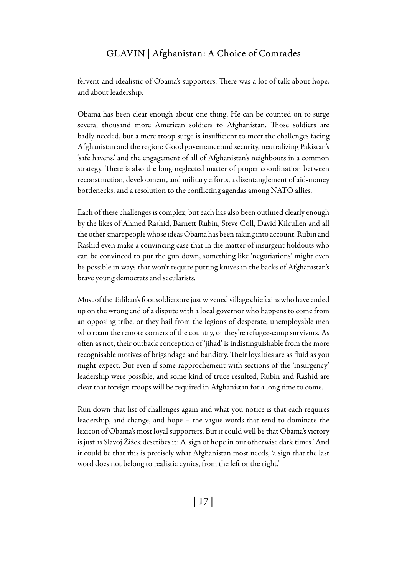fervent and idealistic of Obama's supporters. There was a lot of talk about hope, and about leadership.

Obama has been clear enough about one thing. He can be counted on to surge several thousand more American soldiers to Afghanistan. Those soldiers are badly needed, but a mere troop surge is insufficient to meet the challenges facing Afghanistan and the region: Good governance and security, neutralizing Pakistan's 'safe havens,' and the engagement of all of Afghanistan's neighbours in a common strategy. There is also the long-neglected matter of proper coordination between reconstruction, development, and military efforts, a disentanglement of aid-money bottlenecks, and a resolution to the conflicting agendas among NATO allies.

Each of these challenges is complex, but each has also been outlined clearly enough by the likes of Ahmed Rashid, Barnett Rubin, Steve Coll, David Kilcullen and all the other smart people whose ideas Obama has been taking into account. Rubin and Rashid even make a convincing case that in the matter of insurgent holdouts who can be convinced to put the gun down, something like 'negotiations' might even be possible in ways that won't require putting knives in the backs of Afghanistan's brave young democrats and secularists.

Most of the Taliban's foot soldiers are just wizened village chieftains who have ended up on the wrong end of a dispute with a local governor who happens to come from an opposing tribe, or they hail from the legions of desperate, unemployable men who roam the remote corners of the country, or they're refugee-camp survivors. As often as not, their outback conception of 'jihad' is indistinguishable from the more recognisable motives of brigandage and banditry. Their loyalties are as fluid as you might expect. But even if some rapprochement with sections of the 'insurgency' leadership were possible, and some kind of truce resulted, Rubin and Rashid are clear that foreign troops will be required in Afghanistan for a long time to come.

Run down that list of challenges again and what you notice is that each requires leadership, and change, and hope – the vague words that tend to dominate the lexicon of Obama's most loyal supporters. But it could well be that Obama's victory is just as Slavoj Žižek describes it: A 'sign of hope in our otherwise dark times.' And it could be that this is precisely what Afghanistan most needs, 'a sign that the last word does not belong to realistic cynics, from the left or the right.'